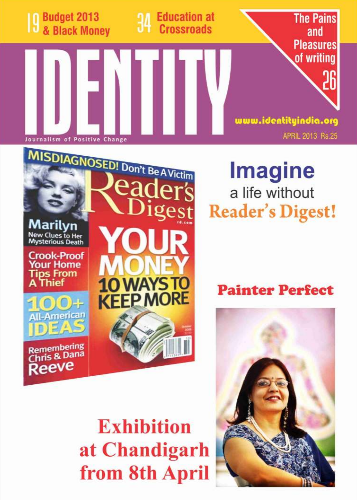

eader's

Marilvn

**New Clues to Her<br>Mysterious Death** 

**Crook-Proof Your Home Tips From** A Thief

Remembering Chris & Dana Reeve

igest

**Imagine** a life without **Reader's Digest!** 

**Painter Perfect** 



**Exhibition** at Chandigarh from 8th April

**KEEP MORE**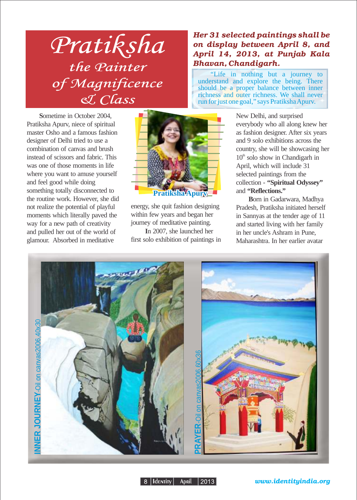## Pratiksha the Painter ene Luincer<br>of Magnificence & Class

**S**ometime in October 2004, Pratiksha Apurv, niece of spiritual master Osho and a famous fashion designer of Delhi tried to use a combination of canvas and brush instead of scissors and fabric. This was one of those moments in life where you want to amuse yourself and feel good while doing something totally disconnected to the routine work. However, she did not realize the potential of playful moments which literally paved the way for a new path of creativity and pulled her out of the world of glamour. Absorbed in meditative



energy, she quit fashion designing within few years and began her journey of meditative painting.

 **I**n 2007, she launched her first solo exhibition of paintings in

## Her 31 selected paintings shall be on display between April 8, and April 14, 2013, at Punjab Kala Bhavan, Chandigarh.

"Life in nothing but a journey to understand and explore the being. There should be a proper balance between inner richness and outer richness. We shall never run for just one goal," says Pratiksha Apurv.

> New Delhi, and surprised everybody who all along knew her as fashion designer. After six years and 9 solo exhibitions across the country, she will be showcasing her  $10<sup>th</sup>$  solo show in Chandigarh in April, which will include 31 selected paintings from the collection - **"Spiritual Odyssey"** and **"Reflections."**

**B**orn in Gadarwara, Madhya Pradesh, Pratiksha initiated herself in Sannyas at the tender age of 11 and started living with her family in her uncle's Ashram in Pune, Maharashtra. In her earlier avatar



8 | Identity | April | 2013 |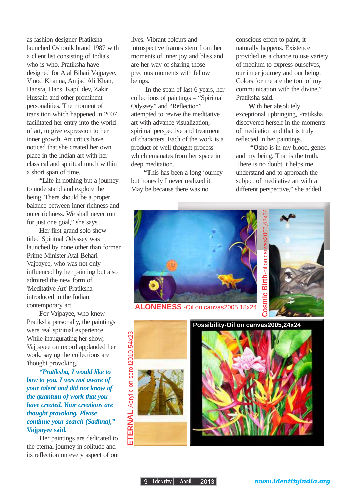as fashion designer Pratiksha launched Oshonik brand 1987 with a client list consisting of India's who-is-who. Pratiksha have designed for Atal Bihari Vajpayee, Vinod Khanna, Amjad Ali Khan, Hansraj Hans, Kapil dev, Zakir Hussain and other prominent personalities. The moment of transition which happened in 2007 facilitated her entry into the world of art, to give expression to her inner growth. Art critics have noticed that she created her own place in the Indian art with her classical and spiritual touch within a short span of time.

**"L**ife in nothing but a journey to understand and explore the being. There should be a proper balance between inner richness and outer richness. We shall never run for just one goal," she says.

**H**er first grand solo show titled Spiritual Odyssey was launched by none other than former Prime Minister Atal Behari Vajpayee, who was not only influenced by her painting but also admired the new form of 'Meditative Art' Pratiksha introduced in the Indian contemporary art.

**F**or Vajpayee, who knew Pratiksha personally, the paintings were real spiritual experience. While inaugurating her show, Vajpayee on record applauded her work, saying the collections are 'thought provoking.'

*"Pratiksha, I would like to bow to you. I was not aware of your talent and did not know of the quantum of work that you have created. Your creations are thought provoking. Please continue your search (Sadhna),"* **Vajpayee said.**

**H**er paintings are dedicated to the eternal journey in solitude and its reflection on every aspect of our lives. Vibrant colours and introspective frames stem from her moments of inner joy and bliss and are her way of sharing those precious moments with fellow beings.

 **I**n the span of last 6 years, her collections of paintings – "Spiritual Odyssey" and "Reflection" attempted to revive the meditative art with advance visualization, spiritual perspective and treatment of characters. Each of the work is a product of well thought process which emanates from her space in deep meditation.

**"T**his has been a long journey but honestly I never realized it. May be because there was no

conscious effort to paint, it naturally happens. Existence provided us a chance to use variety of medium to express ourselves, our inner journey and our being. Colors for me are the tool of my communication with the divine," Pratiksha said.

**W**ith her absolutely exceptional upbringing, Pratiksha discovered herself in the moments of meditation and that is truly reflected in her paintings.

 **"O**sho is in my blood, genes and my being. That is the truth. There is no doubt it helps me understand and to approach the subject of meditative art with a different perspective," she added.

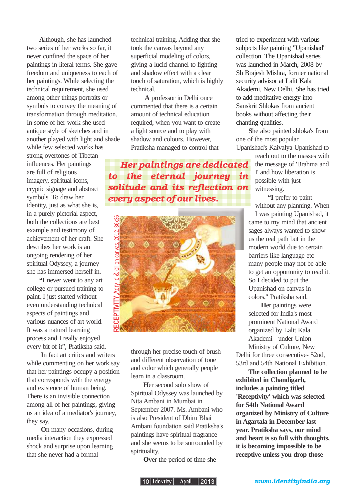**A**lthough, she has launched two series of her works so far, it never confined the space of her paintings in literal terms. She gave freedom and uniqueness to each of her paintings. While selecting the technical requirement, she used among other things portraits or symbols to convey the meaning of transformation through meditation. In some of her work she used antique style of sketches and in another played with light and shade while few selected works has strong overtones of Tibetan influences. Her paintings are full of religious imagery, spiritual icons, cryptic signage and abstract symbols. To draw her identity, just as what she is, in a purely pictorial aspect, both the collections are best example and testimony of achievement of her craft. She describes her work is an ongoing rendering of her spiritual Odyssey, a journey she has immersed herself in.

**"I** never went to any art college or pursued training to paint. I just started without even understanding technical aspects of paintings and various nuances of art world. It was a natural learning process and I really enjoyed every bit of it", Pratiksha said.

**I**n fact art critics and writers while commenting on her work say that her paintings occupy a position that corresponds with the energy and existence of human being. There is an invisible connection among all of her paintings, giving us an idea of a mediator's journey, they say.

 **O**n many occasions, during media interaction they expressed shock and surprise upon learning that she never had a formal

technical training. Adding that she took the canvas beyond any superficial modeling of colors, giving a lucid channel to lighting and shadow effect with a clear touch of saturation, which is highly technical.

**A** professor in Delhi once commented that there is a certain amount of technical education required, when you want to create a light source and to play with shadow and colours. However, Pratiksha managed to control that

Her paintings are dedicated to the eternal journey in solitude and its reflection on every aspect of our lives.



through her precise touch of brush and different observation of tone and color which generally people learn in a classroom.

**H**er second solo show of Spiritual Odyssey was launched by Nita Ambani in Mumbai in September 2007. Ms. Ambani who is also President of Dhiru Bhai Ambani foundation said Pratiksha's paintings have spiritual fragrance and she seems to be surrounded by spirituality.

**O**ver the period of time she

tried to experiment with various subjects like painting "Upanishad" collection. The Upanishad series was launched in March, 2008 by Sh Brajesh Mishra, former national security advisor at Lalit Kala Akademi, New Delhi. She has tried to add meditative energy into Sanskrit Shlokas from ancient books without affecting their chanting qualities.

**S**he also painted shloka's from one of the most popular Upanishad's Kaivalya Upanishad to

reach out to the masses with the message of 'Brahma and I' and how liberation is possible with just witnessing.

**"I** prefer to paint without any planning. When

I was painting Upanishad, it came to my mind that ancient sages always wanted to show us the real path but in the modern world due to certain barriers like language etc many people may not be able to get an opportunity to read it. So I decided to put the Upanishad on canvas in colors," Pratiksha said.

**H**er paintings were selected for India's most prominent National Award organized by Lalit Kala Akademi - under Union Ministry of Culture, New

Delhi for three consecutive- 52nd, 53rd and 54th National Exhibition.

**The collection planned to be exhibited in Chandigarh, includes a painting titled 'Receptivity' which was selected for 54th National Award organized by Ministry of Culture in Agartala in December last year. Pratiksha says, our mind and heart is so full with thoughts, it is becoming impossible to be receptive unless you drop those**